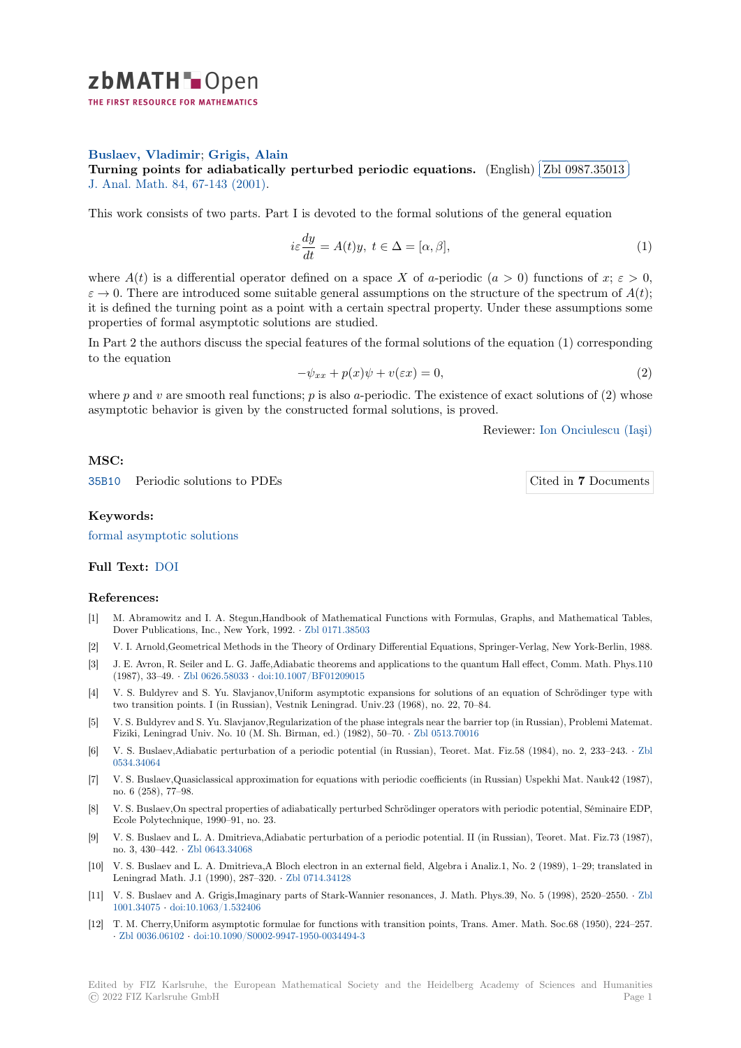

## **Buslaev, Vladimir**; **Grigis, Alain**

**[T](https://zbmath.org/)urning points for adiabatically perturbed periodic equations.** (English)  $\lceil$ ✂ Zbl 0987.35013 i. ✁ J. Anal. Math. 84, 67-143 (2001).

[This work consists of](https://zbmath.org/authors/?q=ai:buslaev.vladimir-s) [two parts. Part](https://zbmath.org/authors/?q=ai:grigis.alain) I is devoted to the formal solutions of the general equation

$$
i\varepsilon \frac{dy}{dt} = A(t)y, \ t \in \Delta = [\alpha, \beta], \tag{1}
$$

where  $A(t)$  is a differential operator defined on a space X of *a*-periodic  $(a > 0)$  functions of  $x; \varepsilon > 0$ ,  $\varepsilon \to 0$ . There are introduced some suitable general assumptions on the structure of the spectrum of  $A(t)$ ; it is defined the turning point as a point with a certain spectral property. Under these assumptions some properties of formal asymptotic solutions are studied.

In Part 2 the authors discuss the special features of the formal solutions of the equation (1) corresponding to the equation

$$
-\psi_{xx} + p(x)\psi + v(\varepsilon x) = 0,\t\t(2)
$$

where  $p$  and  $v$  are smooth real functions;  $p$  is also  $q$ -periodic. The existence of exact solutions of  $(2)$  whose asymptotic behavior is given by the constructed formal solutions, is proved.

Reviewer: Ion Onciulescu (Iaşi)

# **MSC:**

35B10 Periodic solutions to PDEs Cited in **7** [Documents](https://zbmath.org/authors/?q=onciulescu.ion)

#### **Keywords:**

[formal](https://zbmath.org/classification/?q=cc:35B10) asymptotic solutions

## **Full Text:** DOI

## **[References:](https://zbmath.org/?q=ut:formal+asymptotic+solutions)**

- [1] M. Abramowitz and I. A. Stegun,Handbook of Mathematical Functions with Formulas, Graphs, and Mathematical Tables, Dover Pu[blicat](https://dx.doi.org/10.1007/BF02788107)ions, Inc., New York, 1992. *·* Zbl 0171.38503
- [2] V. I. Arnold,Geometrical Methods in the Theory of Ordinary Differential Equations, Springer-Verlag, New York-Berlin, 1988.
- [3] J. E. Avron, R. Seiler and L. G. Jaffe,Adiabatic theorems and applications to the quantum Hall effect, Comm. Math. Phys.110 (1987), 33–49. *·* Zbl 0626.58033 *·* doi:10.1007/BF01209015
- [4] V. S. Buldyrev and S. Yu. Slavjanov,Unifo[rm asymptotic e](https://zbmath.org/0171.38503)xpansions for solutions of an equation of Schrödinger type with two transition points. I (in Russian), Vestnik Leningrad. Univ.23 (1968), no. 22, 70–84.
- [5] V. S. Buldyrev and S. Yu. Slavjanov,Regularization of the phase integrals near the barrier top (in Russian), Problemi Matemat. Fiziki, Leningra[d Univ. No. 10](https://zbmath.org/0626.58033) ([M. Sh. Birman, ed.\) \(1982](https://dx.doi.org/10.1007/BF01209015)), 50–70. *·* Zbl 0513.70016
- [6] V. S. Buslaev,Adiabatic perturbation of a periodic potential (in Russian), Teoret. Mat. Fiz.58 (1984), no. 2, 233–243. *·* Zbl 0534.34064
- [7] V. S. Buslaev,Quasiclassical approximation for equations with periodic coefficients (in Russian) Uspekhi Mat. Nauk42 (1987), no. 6 (258), 77–98.
- [8] V. S. Buslaev,On spectral properties of adiabatically perturbed Schrödinger operators with periodic potential, Séminaire E[DP,](https://zbmath.org/0534.34064) [Ecole Polyt](https://zbmath.org/0534.34064)echnique, 1990–91, no. 23.
- [9] V. S. Buslaev and L. A. Dmitrieva,Adiabatic perturbation of a periodic potential. II (in Russian), Teoret. Mat. Fiz.73 (1987), no. 3, 430–442. *·* Zbl 0643.34068
- [10] V. S. Buslaev and L. A. Dmitrieva,A Bloch electron in an external field, Algebra i Analiz.1, No. 2 (1989), 1–29; translated in Leningrad Math. J.1 (1990), 287–320. *·* Zbl 0714.34128
- [11] V. S. Buslaev and A. Grigis,Imaginary parts of Stark-Wannier resonances, J. Math. Phys.39, No. 5 (1998), 2520–2550. *·* Zbl 1001.34075 *·* doi:[10.1063/1.53240](https://zbmath.org/0643.34068)6
- [12] T. M. Cherry,Uniform asymptotic formulae for functions with transition points, Trans. Amer. Math. Soc.68 (1950), 224–257. *·* Zbl 0036.06102 *·* doi:10.1090/S0002-99[47-1950-003449](https://zbmath.org/0714.34128)4-3

Edited by FIZ Karlsruhe, the European Mathematical Society and the Heidelberg Academy of Sciences and Humanities © 202[2 FIZ Karlsruhe](https://zbmath.org/0036.06102) [GmbH](https://dx.doi.org/10.1090/S0002-9947-1950-0034494-3) Page 1